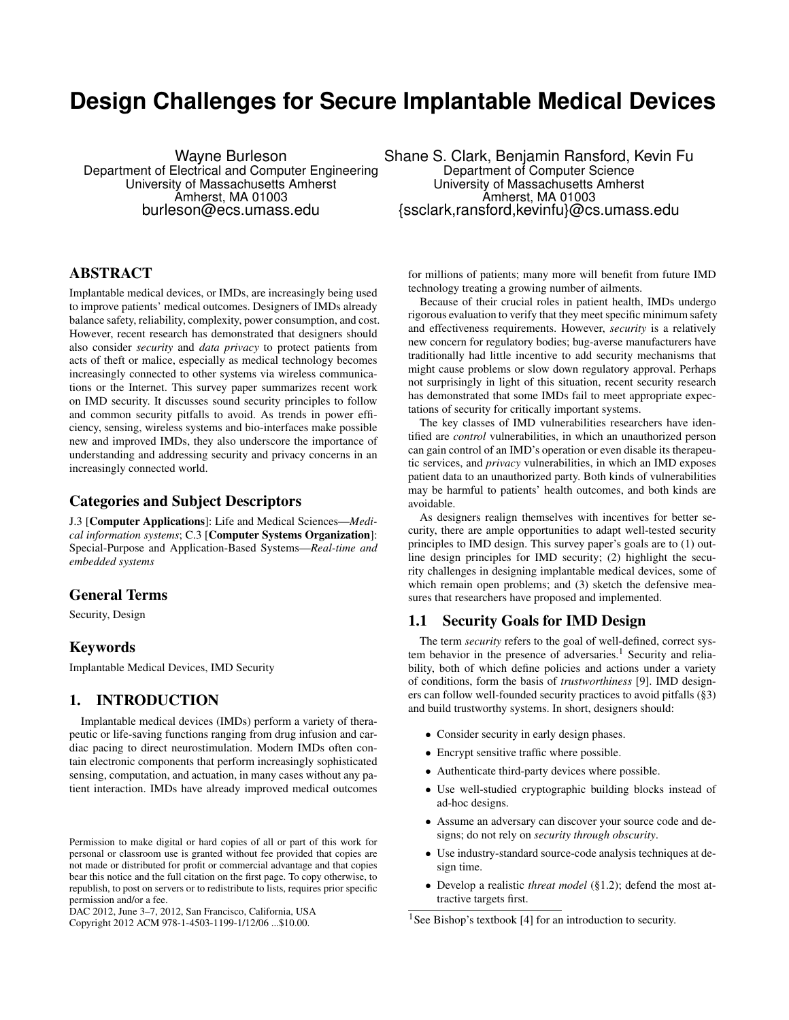# **Design Challenges for Secure Implantable Medical Devices**

Wayne Burleson Department of Electrical and Computer Engineering University of Massachusetts Amherst Amherst, MA 01003 burleson@ecs.umass.edu

Shane S. Clark, Benjamin Ransford, Kevin Fu Department of Computer Science University of Massachusetts Amherst Amherst, MA 01003 {ssclark,ransford,kevinfu}@cs.umass.edu

# ABSTRACT

Implantable medical devices, or IMDs, are increasingly being used to improve patients' medical outcomes. Designers of IMDs already balance safety, reliability, complexity, power consumption, and cost. However, recent research has demonstrated that designers should also consider *security* and *data privacy* to protect patients from acts of theft or malice, especially as medical technology becomes increasingly connected to other systems via wireless communications or the Internet. This survey paper summarizes recent work on IMD security. It discusses sound security principles to follow and common security pitfalls to avoid. As trends in power efficiency, sensing, wireless systems and bio-interfaces make possible new and improved IMDs, they also underscore the importance of understanding and addressing security and privacy concerns in an increasingly connected world.

## Categories and Subject Descriptors

J.3 [Computer Applications]: Life and Medical Sciences—*Medical information systems*; C.3 [Computer Systems Organization]: Special-Purpose and Application-Based Systems—*Real-time and embedded systems*

## General Terms

Security, Design

#### Keywords

Implantable Medical Devices, IMD Security

## 1. INTRODUCTION

Implantable medical devices (IMDs) perform a variety of therapeutic or life-saving functions ranging from drug infusion and cardiac pacing to direct neurostimulation. Modern IMDs often contain electronic components that perform increasingly sophisticated sensing, computation, and actuation, in many cases without any patient interaction. IMDs have already improved medical outcomes

DAC 2012, June 3–7, 2012, San Francisco, California, USA

Copyright 2012 ACM 978-1-4503-1199-1/12/06 ...\$10.00.

for millions of patients; many more will benefit from future IMD technology treating a growing number of ailments.

Because of their crucial roles in patient health, IMDs undergo rigorous evaluation to verify that they meet specific minimum safety and effectiveness requirements. However, *security* is a relatively new concern for regulatory bodies; bug-averse manufacturers have traditionally had little incentive to add security mechanisms that might cause problems or slow down regulatory approval. Perhaps not surprisingly in light of this situation, recent security research has demonstrated that some IMDs fail to meet appropriate expectations of security for critically important systems.

The key classes of IMD vulnerabilities researchers have identified are *control* vulnerabilities, in which an unauthorized person can gain control of an IMD's operation or even disable its therapeutic services, and *privacy* vulnerabilities, in which an IMD exposes patient data to an unauthorized party. Both kinds of vulnerabilities may be harmful to patients' health outcomes, and both kinds are avoidable.

As designers realign themselves with incentives for better security, there are ample opportunities to adapt well-tested security principles to IMD design. This survey paper's goals are to (1) outline design principles for IMD security; (2) highlight the security challenges in designing implantable medical devices, some of which remain open problems; and (3) sketch the defensive measures that researchers have proposed and implemented.

## 1.1 Security Goals for IMD Design

The term *security* refers to the goal of well-defined, correct system behavior in the presence of adversaries.<sup>1</sup> Security and reliability, both of which define policies and actions under a variety of conditions, form the basis of *trustworthiness* [9]. IMD designers can follow well-founded security practices to avoid pitfalls (§3) and build trustworthy systems. In short, designers should:

- Consider security in early design phases.
- Encrypt sensitive traffic where possible.
- Authenticate third-party devices where possible.
- Use well-studied cryptographic building blocks instead of ad-hoc designs.
- Assume an adversary can discover your source code and designs; do not rely on *security through obscurity*.
- Use industry-standard source-code analysis techniques at design time.
- Develop a realistic *threat model* (§1.2); defend the most attractive targets first.

Permission to make digital or hard copies of all or part of this work for personal or classroom use is granted without fee provided that copies are not made or distributed for profit or commercial advantage and that copies bear this notice and the full citation on the first page. To copy otherwise, to republish, to post on servers or to redistribute to lists, requires prior specific permission and/or a fee.

<sup>&</sup>lt;sup>1</sup>See Bishop's textbook [4] for an introduction to security.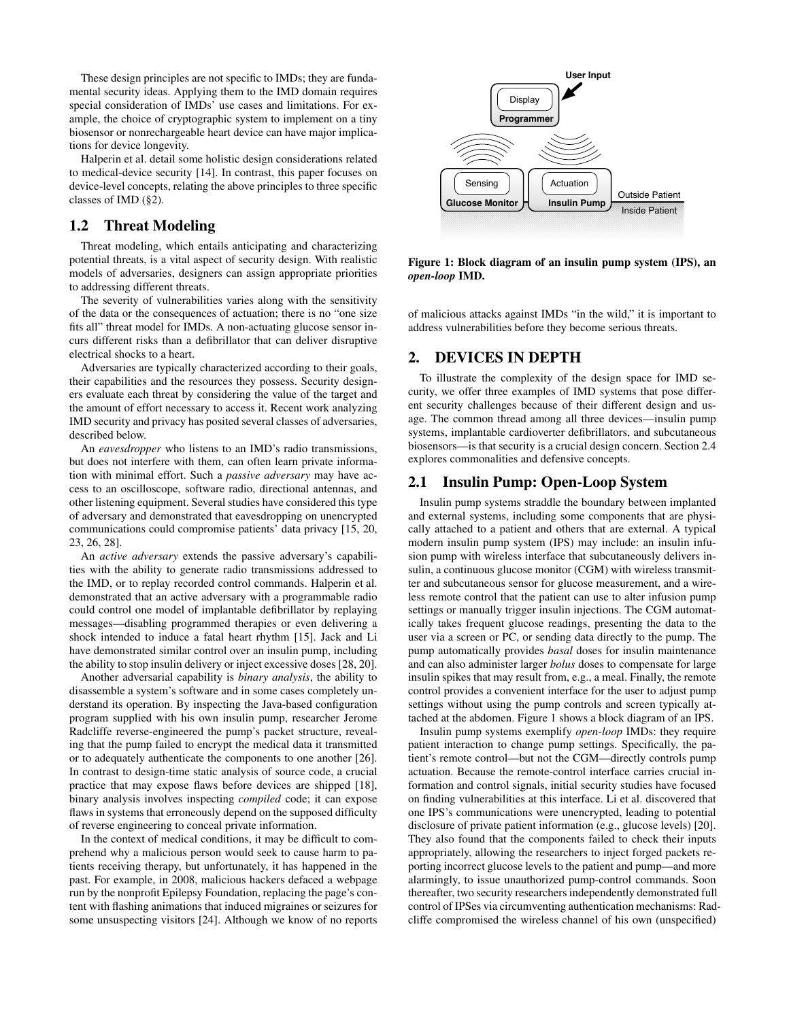These design principles are not specific to IMDs; they are fundamental security ideas. Applying them to the IMD domain requires special consideration of IMDs' use cases and limitations. For example, the choice of cryptographic system to implement on a tiny biosensor or nonrechargeable heart device can have major implications for device longevity.

Halperin et al. detail some holistic design considerations related to medical-device security [14]. In contrast, this paper focuses on device-level concepts, relating the above principles to three specific classes of IMD (§2).

# 1.2 Threat Modeling

Threat modeling, which entails anticipating and characterizing potential threats, is a vital aspect of security design. With realistic models of adversaries, designers can assign appropriate priorities to addressing different threats.

The severity of vulnerabilities varies along with the sensitivity of the data or the consequences of actuation; there is no "one size fits all" threat model for IMDs. A non-actuating glucose sensor incurs different risks than a defibrillator that can deliver disruptive electrical shocks to a heart.

Adversaries are typically characterized according to their goals, their capabilities and the resources they possess. Security designers evaluate each threat by considering the value of the target and the amount of effort necessary to access it. Recent work analyzing IMD security and privacy has posited several classes of adversaries, described below.

An *eavesdropper* who listens to an IMD's radio transmissions, but does not interfere with them, can often learn private information with minimal effort. Such a *passive adversary* may have access to an oscilloscope, software radio, directional antennas, and other listening equipment. Several studies have considered this type of adversary and demonstrated that eavesdropping on unencrypted communications could compromise patients' data privacy [15, 20, 23, 26, 28].

An *active adversary* extends the passive adversary's capabilities with the ability to generate radio transmissions addressed to the IMD, or to replay recorded control commands. Halperin et al. demonstrated that an active adversary with a programmable radio could control one model of implantable defibrillator by replaying messages—disabling programmed therapies or even delivering a shock intended to induce a fatal heart rhythm [15]. Jack and Li have demonstrated similar control over an insulin pump, including the ability to stop insulin delivery or inject excessive doses [28, 20].

Another adversarial capability is *binary analysis*, the ability to disassemble a system's software and in some cases completely understand its operation. By inspecting the Java-based configuration program supplied with his own insulin pump, researcher Jerome Radcliffe reverse-engineered the pump's packet structure, revealing that the pump failed to encrypt the medical data it transmitted or to adequately authenticate the components to one another [26]. In contrast to design-time static analysis of source code, a crucial practice that may expose flaws before devices are shipped [18], binary analysis involves inspecting *compiled* code; it can expose flaws in systems that erroneously depend on the supposed difficulty of reverse engineering to conceal private information.

In the context of medical conditions, it may be difficult to comprehend why a malicious person would seek to cause harm to patients receiving therapy, but unfortunately, it has happened in the past. For example, in 2008, malicious hackers defaced a webpage run by the nonprofit Epilepsy Foundation, replacing the page's content with flashing animations that induced migraines or seizures for some unsuspecting visitors [24]. Although we know of no reports



Figure 1: Block diagram of an insulin pump system (IPS), an *open-loop* IMD.

of malicious attacks against IMDs "in the wild," it is important to address vulnerabilities before they become serious threats.

## 2. DEVICES IN DEPTH

To illustrate the complexity of the design space for IMD security, we offer three examples of IMD systems that pose different security challenges because of their different design and usage. The common thread among all three devices—insulin pump systems, implantable cardioverter defibrillators, and subcutaneous biosensors—is that security is a crucial design concern. Section 2.4 explores commonalities and defensive concepts.

#### 2.1 Insulin Pump: Open-Loop System

Insulin pump systems straddle the boundary between implanted and external systems, including some components that are physically attached to a patient and others that are external. A typical modern insulin pump system (IPS) may include: an insulin infusion pump with wireless interface that subcutaneously delivers insulin, a continuous glucose monitor (CGM) with wireless transmitter and subcutaneous sensor for glucose measurement, and a wireless remote control that the patient can use to alter infusion pump settings or manually trigger insulin injections. The CGM automatically takes frequent glucose readings, presenting the data to the user via a screen or PC, or sending data directly to the pump. The pump automatically provides *basal* doses for insulin maintenance and can also administer larger *bolus* doses to compensate for large insulin spikes that may result from, e.g., a meal. Finally, the remote control provides a convenient interface for the user to adjust pump settings without using the pump controls and screen typically attached at the abdomen. Figure 1 shows a block diagram of an IPS.

Insulin pump systems exemplify *open-loop* IMDs: they require patient interaction to change pump settings. Specifically, the patient's remote control—but not the CGM—directly controls pump actuation. Because the remote-control interface carries crucial information and control signals, initial security studies have focused on finding vulnerabilities at this interface. Li et al. discovered that one IPS's communications were unencrypted, leading to potential disclosure of private patient information (e.g., glucose levels) [20]. They also found that the components failed to check their inputs appropriately, allowing the researchers to inject forged packets reporting incorrect glucose levels to the patient and pump—and more alarmingly, to issue unauthorized pump-control commands. Soon thereafter, two security researchers independently demonstrated full control of IPSes via circumventing authentication mechanisms: Radcliffe compromised the wireless channel of his own (unspecified)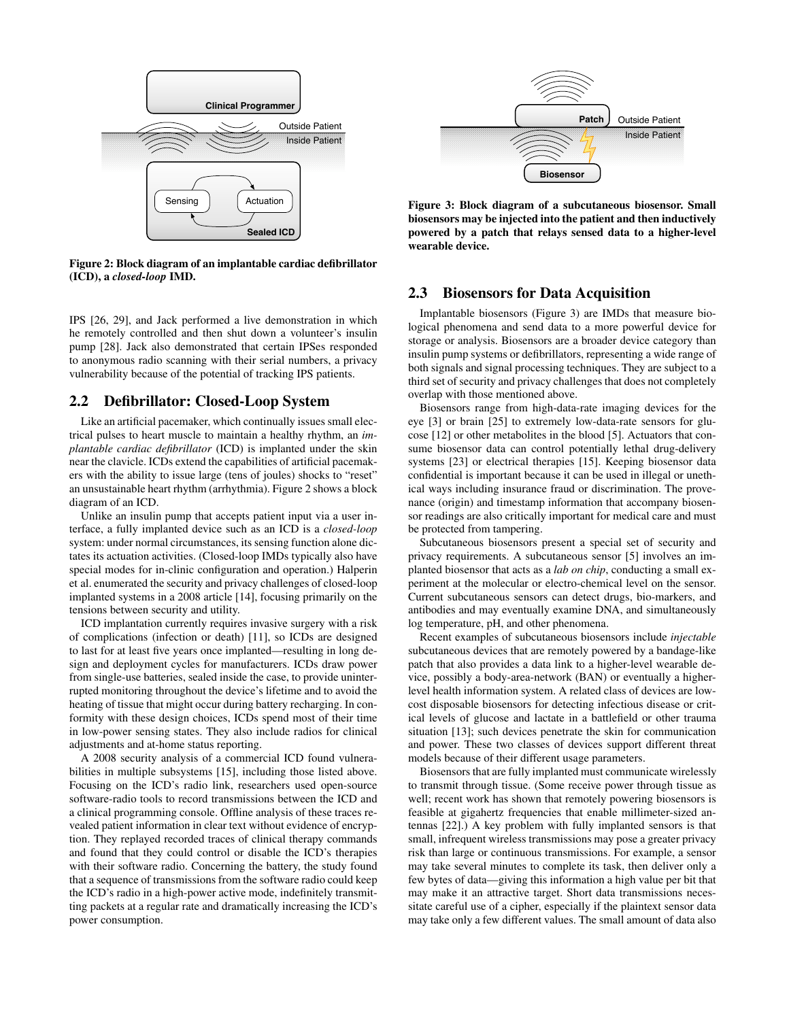

Figure 2: Block diagram of an implantable cardiac defibrillator (ICD), a *closed-loop* IMD.

IPS [26, 29], and Jack performed a live demonstration in which he remotely controlled and then shut down a volunteer's insulin pump [28]. Jack also demonstrated that certain IPSes responded to anonymous radio scanning with their serial numbers, a privacy vulnerability because of the potential of tracking IPS patients.

#### 2.2 Defibrillator: Closed-Loop System

Like an artificial pacemaker, which continually issues small electrical pulses to heart muscle to maintain a healthy rhythm, an *implantable cardiac defibrillator* (ICD) is implanted under the skin near the clavicle. ICDs extend the capabilities of artificial pacemakers with the ability to issue large (tens of joules) shocks to "reset" an unsustainable heart rhythm (arrhythmia). Figure 2 shows a block diagram of an ICD.

Unlike an insulin pump that accepts patient input via a user interface, a fully implanted device such as an ICD is a *closed-loop* system: under normal circumstances, its sensing function alone dictates its actuation activities. (Closed-loop IMDs typically also have special modes for in-clinic configuration and operation.) Halperin et al. enumerated the security and privacy challenges of closed-loop implanted systems in a 2008 article [14], focusing primarily on the tensions between security and utility.

ICD implantation currently requires invasive surgery with a risk of complications (infection or death) [11], so ICDs are designed to last for at least five years once implanted—resulting in long design and deployment cycles for manufacturers. ICDs draw power from single-use batteries, sealed inside the case, to provide uninterrupted monitoring throughout the device's lifetime and to avoid the heating of tissue that might occur during battery recharging. In conformity with these design choices, ICDs spend most of their time in low-power sensing states. They also include radios for clinical adjustments and at-home status reporting.

A 2008 security analysis of a commercial ICD found vulnerabilities in multiple subsystems [15], including those listed above. Focusing on the ICD's radio link, researchers used open-source software-radio tools to record transmissions between the ICD and a clinical programming console. Offline analysis of these traces revealed patient information in clear text without evidence of encryption. They replayed recorded traces of clinical therapy commands and found that they could control or disable the ICD's therapies with their software radio. Concerning the battery, the study found that a sequence of transmissions from the software radio could keep the ICD's radio in a high-power active mode, indefinitely transmitting packets at a regular rate and dramatically increasing the ICD's power consumption.



Figure 3: Block diagram of a subcutaneous biosensor. Small biosensors may be injected into the patient and then inductively powered by a patch that relays sensed data to a higher-level wearable device.

## 2.3 Biosensors for Data Acquisition

Implantable biosensors (Figure 3) are IMDs that measure biological phenomena and send data to a more powerful device for storage or analysis. Biosensors are a broader device category than insulin pump systems or defibrillators, representing a wide range of both signals and signal processing techniques. They are subject to a third set of security and privacy challenges that does not completely overlap with those mentioned above.

Biosensors range from high-data-rate imaging devices for the eye [3] or brain [25] to extremely low-data-rate sensors for glucose [12] or other metabolites in the blood [5]. Actuators that consume biosensor data can control potentially lethal drug-delivery systems [23] or electrical therapies [15]. Keeping biosensor data confidential is important because it can be used in illegal or unethical ways including insurance fraud or discrimination. The provenance (origin) and timestamp information that accompany biosensor readings are also critically important for medical care and must be protected from tampering.

Subcutaneous biosensors present a special set of security and privacy requirements. A subcutaneous sensor [5] involves an implanted biosensor that acts as a *lab on chip*, conducting a small experiment at the molecular or electro-chemical level on the sensor. Current subcutaneous sensors can detect drugs, bio-markers, and antibodies and may eventually examine DNA, and simultaneously log temperature, pH, and other phenomena.

Recent examples of subcutaneous biosensors include *injectable* subcutaneous devices that are remotely powered by a bandage-like patch that also provides a data link to a higher-level wearable device, possibly a body-area-network (BAN) or eventually a higherlevel health information system. A related class of devices are lowcost disposable biosensors for detecting infectious disease or critical levels of glucose and lactate in a battlefield or other trauma situation [13]; such devices penetrate the skin for communication and power. These two classes of devices support different threat models because of their different usage parameters.

Biosensors that are fully implanted must communicate wirelessly to transmit through tissue. (Some receive power through tissue as well; recent work has shown that remotely powering biosensors is feasible at gigahertz frequencies that enable millimeter-sized antennas [22].) A key problem with fully implanted sensors is that small, infrequent wireless transmissions may pose a greater privacy risk than large or continuous transmissions. For example, a sensor may take several minutes to complete its task, then deliver only a few bytes of data—giving this information a high value per bit that may make it an attractive target. Short data transmissions necessitate careful use of a cipher, especially if the plaintext sensor data may take only a few different values. The small amount of data also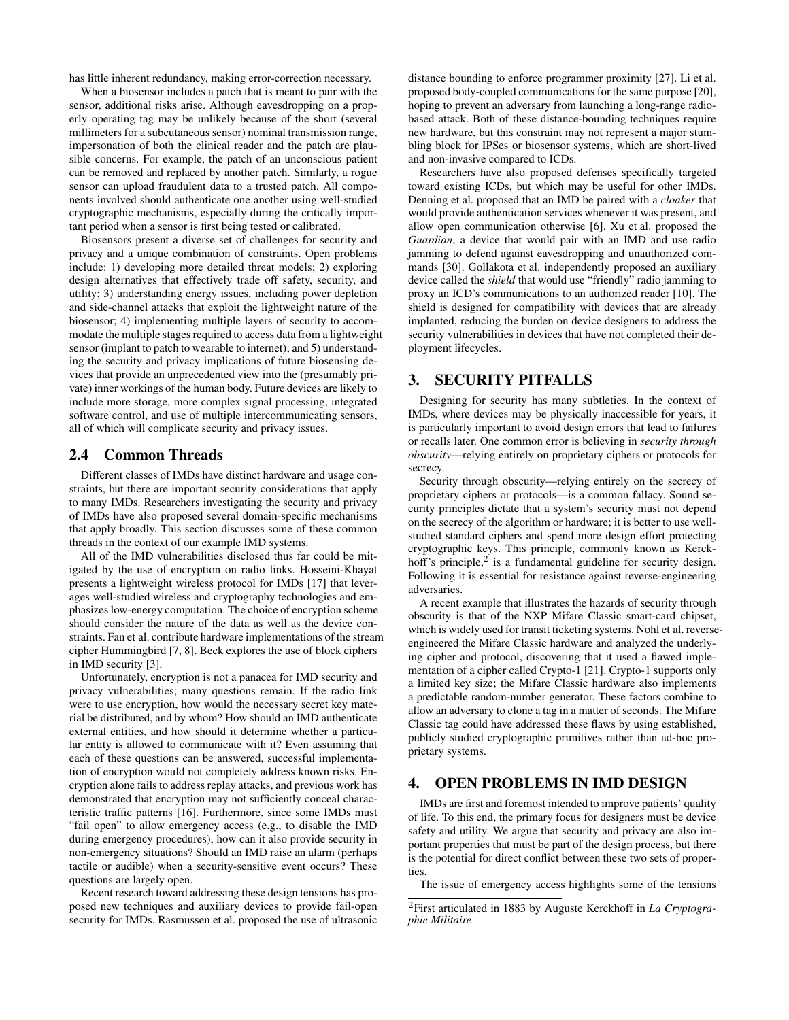has little inherent redundancy, making error-correction necessary.

When a biosensor includes a patch that is meant to pair with the sensor, additional risks arise. Although eavesdropping on a properly operating tag may be unlikely because of the short (several millimeters for a subcutaneous sensor) nominal transmission range, impersonation of both the clinical reader and the patch are plausible concerns. For example, the patch of an unconscious patient can be removed and replaced by another patch. Similarly, a rogue sensor can upload fraudulent data to a trusted patch. All components involved should authenticate one another using well-studied cryptographic mechanisms, especially during the critically important period when a sensor is first being tested or calibrated.

Biosensors present a diverse set of challenges for security and privacy and a unique combination of constraints. Open problems include: 1) developing more detailed threat models; 2) exploring design alternatives that effectively trade off safety, security, and utility; 3) understanding energy issues, including power depletion and side-channel attacks that exploit the lightweight nature of the biosensor; 4) implementing multiple layers of security to accommodate the multiple stages required to access data from a lightweight sensor (implant to patch to wearable to internet); and 5) understanding the security and privacy implications of future biosensing devices that provide an unprecedented view into the (presumably private) inner workings of the human body. Future devices are likely to include more storage, more complex signal processing, integrated software control, and use of multiple intercommunicating sensors, all of which will complicate security and privacy issues.

## 2.4 Common Threads

Different classes of IMDs have distinct hardware and usage constraints, but there are important security considerations that apply to many IMDs. Researchers investigating the security and privacy of IMDs have also proposed several domain-specific mechanisms that apply broadly. This section discusses some of these common threads in the context of our example IMD systems.

All of the IMD vulnerabilities disclosed thus far could be mitigated by the use of encryption on radio links. Hosseini-Khayat presents a lightweight wireless protocol for IMDs [17] that leverages well-studied wireless and cryptography technologies and emphasizes low-energy computation. The choice of encryption scheme should consider the nature of the data as well as the device constraints. Fan et al. contribute hardware implementations of the stream cipher Hummingbird [7, 8]. Beck explores the use of block ciphers in IMD security [3].

Unfortunately, encryption is not a panacea for IMD security and privacy vulnerabilities; many questions remain. If the radio link were to use encryption, how would the necessary secret key material be distributed, and by whom? How should an IMD authenticate external entities, and how should it determine whether a particular entity is allowed to communicate with it? Even assuming that each of these questions can be answered, successful implementation of encryption would not completely address known risks. Encryption alone fails to address replay attacks, and previous work has demonstrated that encryption may not sufficiently conceal characteristic traffic patterns [16]. Furthermore, since some IMDs must "fail open" to allow emergency access (e.g., to disable the IMD during emergency procedures), how can it also provide security in non-emergency situations? Should an IMD raise an alarm (perhaps tactile or audible) when a security-sensitive event occurs? These questions are largely open.

Recent research toward addressing these design tensions has proposed new techniques and auxiliary devices to provide fail-open security for IMDs. Rasmussen et al. proposed the use of ultrasonic

distance bounding to enforce programmer proximity [27]. Li et al. proposed body-coupled communications for the same purpose [20], hoping to prevent an adversary from launching a long-range radiobased attack. Both of these distance-bounding techniques require new hardware, but this constraint may not represent a major stumbling block for IPSes or biosensor systems, which are short-lived and non-invasive compared to ICDs.

Researchers have also proposed defenses specifically targeted toward existing ICDs, but which may be useful for other IMDs. Denning et al. proposed that an IMD be paired with a *cloaker* that would provide authentication services whenever it was present, and allow open communication otherwise [6]. Xu et al. proposed the *Guardian*, a device that would pair with an IMD and use radio jamming to defend against eavesdropping and unauthorized commands [30]. Gollakota et al. independently proposed an auxiliary device called the *shield* that would use "friendly" radio jamming to proxy an ICD's communications to an authorized reader [10]. The shield is designed for compatibility with devices that are already implanted, reducing the burden on device designers to address the security vulnerabilities in devices that have not completed their deployment lifecycles.

## 3. SECURITY PITFALLS

Designing for security has many subtleties. In the context of IMDs, where devices may be physically inaccessible for years, it is particularly important to avoid design errors that lead to failures or recalls later. One common error is believing in *security through obscurity*—relying entirely on proprietary ciphers or protocols for secrecy.

Security through obscurity—relying entirely on the secrecy of proprietary ciphers or protocols—is a common fallacy. Sound security principles dictate that a system's security must not depend on the secrecy of the algorithm or hardware; it is better to use wellstudied standard ciphers and spend more design effort protecting cryptographic keys. This principle, commonly known as Kerckhoff's principle,<sup>2</sup> is a fundamental guideline for security design. Following it is essential for resistance against reverse-engineering adversaries.

A recent example that illustrates the hazards of security through obscurity is that of the NXP Mifare Classic smart-card chipset, which is widely used for transit ticketing systems. Nohl et al. reverseengineered the Mifare Classic hardware and analyzed the underlying cipher and protocol, discovering that it used a flawed implementation of a cipher called Crypto-1 [21]. Crypto-1 supports only a limited key size; the Mifare Classic hardware also implements a predictable random-number generator. These factors combine to allow an adversary to clone a tag in a matter of seconds. The Mifare Classic tag could have addressed these flaws by using established, publicly studied cryptographic primitives rather than ad-hoc proprietary systems.

## 4. OPEN PROBLEMS IN IMD DESIGN

IMDs are first and foremost intended to improve patients' quality of life. To this end, the primary focus for designers must be device safety and utility. We argue that security and privacy are also important properties that must be part of the design process, but there is the potential for direct conflict between these two sets of properties.

The issue of emergency access highlights some of the tensions

<sup>2</sup>First articulated in 1883 by Auguste Kerckhoff in *La Cryptographie Militaire*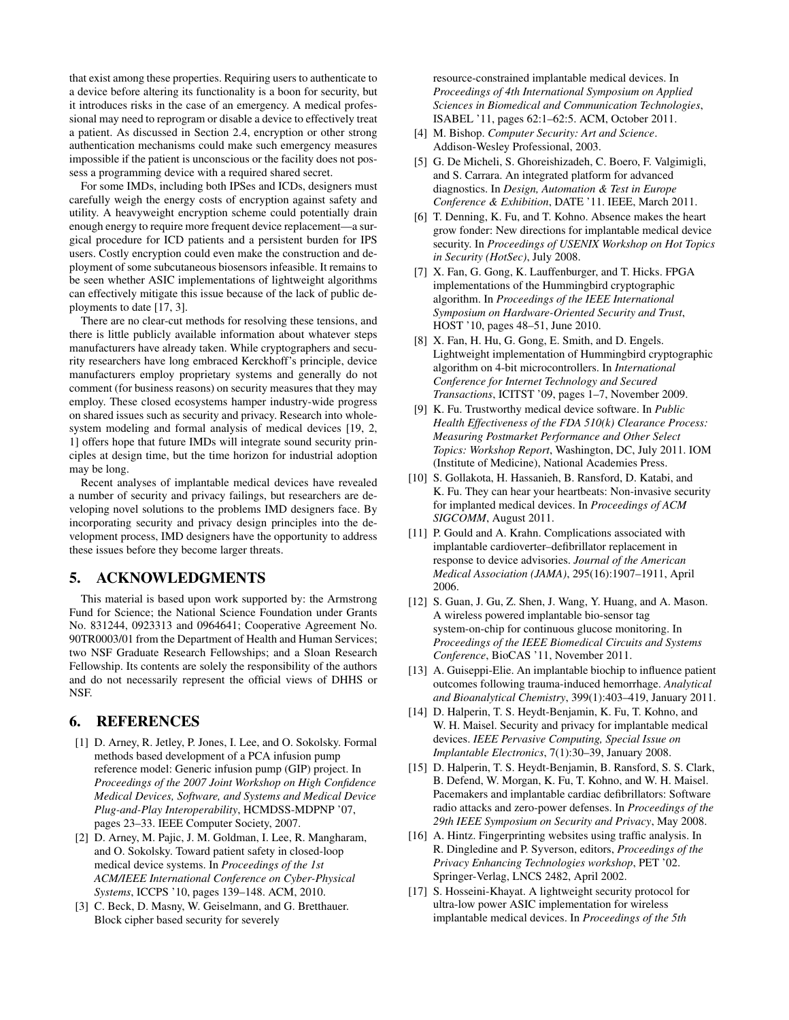that exist among these properties. Requiring users to authenticate to a device before altering its functionality is a boon for security, but it introduces risks in the case of an emergency. A medical professional may need to reprogram or disable a device to effectively treat a patient. As discussed in Section 2.4, encryption or other strong authentication mechanisms could make such emergency measures impossible if the patient is unconscious or the facility does not possess a programming device with a required shared secret.

For some IMDs, including both IPSes and ICDs, designers must carefully weigh the energy costs of encryption against safety and utility. A heavyweight encryption scheme could potentially drain enough energy to require more frequent device replacement—a surgical procedure for ICD patients and a persistent burden for IPS users. Costly encryption could even make the construction and deployment of some subcutaneous biosensors infeasible. It remains to be seen whether ASIC implementations of lightweight algorithms can effectively mitigate this issue because of the lack of public deployments to date [17, 3].

There are no clear-cut methods for resolving these tensions, and there is little publicly available information about whatever steps manufacturers have already taken. While cryptographers and security researchers have long embraced Kerckhoff's principle, device manufacturers employ proprietary systems and generally do not comment (for business reasons) on security measures that they may employ. These closed ecosystems hamper industry-wide progress on shared issues such as security and privacy. Research into wholesystem modeling and formal analysis of medical devices [19, 2, 1] offers hope that future IMDs will integrate sound security principles at design time, but the time horizon for industrial adoption may be long.

Recent analyses of implantable medical devices have revealed a number of security and privacy failings, but researchers are developing novel solutions to the problems IMD designers face. By incorporating security and privacy design principles into the development process, IMD designers have the opportunity to address these issues before they become larger threats.

## 5. ACKNOWLEDGMENTS

This material is based upon work supported by: the Armstrong Fund for Science; the National Science Foundation under Grants No. 831244, 0923313 and 0964641; Cooperative Agreement No. 90TR0003/01 from the Department of Health and Human Services; two NSF Graduate Research Fellowships; and a Sloan Research Fellowship. Its contents are solely the responsibility of the authors and do not necessarily represent the official views of DHHS or NSF.

# 6. REFERENCES

- [1] D. Arney, R. Jetley, P. Jones, I. Lee, and O. Sokolsky. Formal methods based development of a PCA infusion pump reference model: Generic infusion pump (GIP) project. In *Proceedings of the 2007 Joint Workshop on High Confidence Medical Devices, Software, and Systems and Medical Device Plug-and-Play Interoperability*, HCMDSS-MDPNP '07, pages 23–33. IEEE Computer Society, 2007.
- [2] D. Arney, M. Pajic, J. M. Goldman, I. Lee, R. Mangharam, and O. Sokolsky. Toward patient safety in closed-loop medical device systems. In *Proceedings of the 1st ACM/IEEE International Conference on Cyber-Physical Systems*, ICCPS '10, pages 139–148. ACM, 2010.
- [3] C. Beck, D. Masny, W. Geiselmann, and G. Bretthauer. Block cipher based security for severely

resource-constrained implantable medical devices. In *Proceedings of 4th International Symposium on Applied Sciences in Biomedical and Communication Technologies*, ISABEL '11, pages 62:1–62:5. ACM, October 2011.

- [4] M. Bishop. *Computer Security: Art and Science*. Addison-Wesley Professional, 2003.
- [5] G. De Micheli, S. Ghoreishizadeh, C. Boero, F. Valgimigli, and S. Carrara. An integrated platform for advanced diagnostics. In *Design, Automation & Test in Europe Conference & Exhibition*, DATE '11. IEEE, March 2011.
- [6] T. Denning, K. Fu, and T. Kohno. Absence makes the heart grow fonder: New directions for implantable medical device security. In *Proceedings of USENIX Workshop on Hot Topics in Security (HotSec)*, July 2008.
- [7] X. Fan, G. Gong, K. Lauffenburger, and T. Hicks. FPGA implementations of the Hummingbird cryptographic algorithm. In *Proceedings of the IEEE International Symposium on Hardware-Oriented Security and Trust*, HOST '10, pages 48–51, June 2010.
- [8] X. Fan, H. Hu, G. Gong, E. Smith, and D. Engels. Lightweight implementation of Hummingbird cryptographic algorithm on 4-bit microcontrollers. In *International Conference for Internet Technology and Secured Transactions*, ICITST '09, pages 1–7, November 2009.
- [9] K. Fu. Trustworthy medical device software. In *Public Health Effectiveness of the FDA 510(k) Clearance Process: Measuring Postmarket Performance and Other Select Topics: Workshop Report*, Washington, DC, July 2011. IOM (Institute of Medicine), National Academies Press.
- [10] S. Gollakota, H. Hassanieh, B. Ransford, D. Katabi, and K. Fu. They can hear your heartbeats: Non-invasive security for implanted medical devices. In *Proceedings of ACM SIGCOMM*, August 2011.
- [11] P. Gould and A. Krahn. Complications associated with implantable cardioverter–defibrillator replacement in response to device advisories. *Journal of the American Medical Association (JAMA)*, 295(16):1907–1911, April 2006.
- [12] S. Guan, J. Gu, Z. Shen, J. Wang, Y. Huang, and A. Mason. A wireless powered implantable bio-sensor tag system-on-chip for continuous glucose monitoring. In *Proceedings of the IEEE Biomedical Circuits and Systems Conference*, BioCAS '11, November 2011.
- [13] A. Guiseppi-Elie. An implantable biochip to influence patient outcomes following trauma-induced hemorrhage. *Analytical and Bioanalytical Chemistry*, 399(1):403–419, January 2011.
- [14] D. Halperin, T. S. Heydt-Benjamin, K. Fu, T. Kohno, and W. H. Maisel. Security and privacy for implantable medical devices. *IEEE Pervasive Computing, Special Issue on Implantable Electronics*, 7(1):30–39, January 2008.
- [15] D. Halperin, T. S. Heydt-Benjamin, B. Ransford, S. S. Clark, B. Defend, W. Morgan, K. Fu, T. Kohno, and W. H. Maisel. Pacemakers and implantable cardiac defibrillators: Software radio attacks and zero-power defenses. In *Proceedings of the 29th IEEE Symposium on Security and Privacy*, May 2008.
- [16] A. Hintz. Fingerprinting websites using traffic analysis. In R. Dingledine and P. Syverson, editors, *Proceedings of the Privacy Enhancing Technologies workshop*, PET '02. Springer-Verlag, LNCS 2482, April 2002.
- [17] S. Hosseini-Khayat. A lightweight security protocol for ultra-low power ASIC implementation for wireless implantable medical devices. In *Proceedings of the 5th*